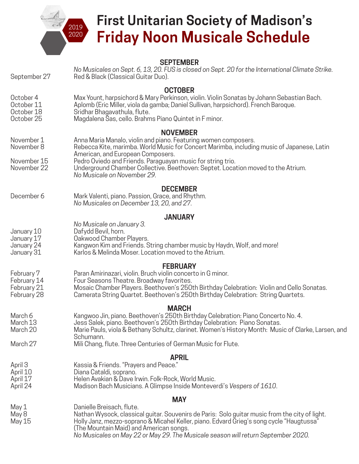

# **First Unitarian Society of Madison's Friday Noon Musicale Schedule**

| September 27                                            | <b>SEPTEMBER</b><br>No Musicales on Sept. 6, 13, 20. FUS is closed on Sept. 20 for the International Climate Strike.<br>Red & Black (Classical Guitar Duo).                                                                                                                                                                                                                                             |
|---------------------------------------------------------|---------------------------------------------------------------------------------------------------------------------------------------------------------------------------------------------------------------------------------------------------------------------------------------------------------------------------------------------------------------------------------------------------------|
| October 4<br>October 11<br>October 18<br>October 25     | <b>OCTOBER</b><br>Max Yount, harpsichord & Mary Perkinson, violin. Violin Sonatas by Johann Sebastian Bach.<br>Aplomb (Eric Miller, viola da gamba; Daniel Sullivan, harpsichord). French Baroque.<br>Sridhar Bhagavathula, flute.<br>Magdalena Sas, cello. Brahms Piano Quintet in F minor.                                                                                                            |
| November 1<br>November 8<br>November 15<br>November 22  | <b>NOVEMBER</b><br>Anna Maria Manalo, violin and piano. Featuring women composers.<br>Rebecca Kite, marimba. World Music for Concert Marimba, including music of Japanese, Latin<br>American, and European Composers.<br>Pedro Oviedo and Friends. Paraguayan music for string trio.<br>Underground Chamber Collective. Beethoven: Septet. Location moved to the Atrium.<br>No Musicale on November 29. |
| December 6                                              | <b>DECEMBER</b><br>Mark Valenti, piano. Passion, Grace, and Rhythm.<br>No Musicales on December 13, 20, and 27.                                                                                                                                                                                                                                                                                         |
| January 10<br>January 17<br>January 24<br>January 31    | <b>JANUARY</b><br>No Musicale on January 3.<br>Dafydd Bevil, horn.<br>Oakwood Chamber Players.<br>Kangwon Kim and Friends. String chamber music by Haydn, Wolf, and more!<br>Karlos & Melinda Moser. Location moved to the Atrium.                                                                                                                                                                      |
| February 7<br>February 14<br>February 21<br>February 28 | <b>FEBRUARY</b><br>Paran Amirinazari, violin. Bruch violin concerto in G minor.<br>Four Seasons Theatre. Broadway favorites.<br>Mosaic Chamber Players. Beethoven's 250th Birthday Celebration: Violin and Cello Sonatas.<br>Camerata String Quartet. Beethoven's 250th Birthday Celebration: String Quartets.                                                                                          |
| March 6<br>March 13<br>March 20<br>March 27             | <b>MARCH</b><br>Kangwoo Jin, piano. Beethoven's 250th Birthday Celebration: Piano Concerto No. 4.<br>Jess Salek, piano. Beethoven's 250th Birthday Celebration: Piano Sonatas.<br>Marie Pauls, viola & Bethany Schultz, clarinet. Women's History Month: Music of Clarke, Larsen, and<br>Schumann.<br>Mili Chang, flute. Three Centuries of German Music for Flute.                                     |
| April 3<br>April 10<br>April 17<br>April 24             | <b>APRIL</b><br>Kassia & Friends. "Prayers and Peace."<br>Diana Cataldi, soprano.<br>Helen Avakian & Dave Irwin. Folk-Rock, World Music.<br>Madison Bach Musicians. A Glimpse Inside Monteverdi's Vespers of 1610.                                                                                                                                                                                      |
|                                                         | <b>MAY</b>                                                                                                                                                                                                                                                                                                                                                                                              |
| May 1<br>May 8<br>May 15                                | Danielle Breisach, flute.<br>Nathan Wysock, classical guitar. Souvenirs de Paris: Solo guitar music from the city of light.<br>Holly Janz, mezzo-soprano & Micahel Keller, piano. Edvard Grieg's song cycle "Haugtussa"<br>(The Mountain Maid) and American songs.<br>No Musicales on May 22 or May 29. The Musicale season will return September 2020.                                                 |